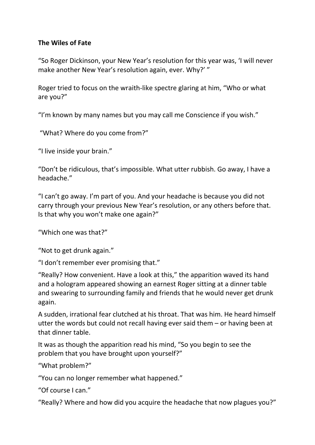## **The Wiles of Fate**

"So Roger Dickinson, your New Year's resolution for this year was, 'I will never make another New Year's resolution again, ever. Why?' "

Roger tried to focus on the wraith-like spectre glaring at him, "Who or what are you?"

"I'm known by many names but you may call me Conscience if you wish."

"What? Where do you come from?"

"I live inside your brain."

"Don't be ridiculous, that's impossible. What utter rubbish. Go away, I have a headache."

"I can't go away. I'm part of you. And your headache is because you did not carry through your previous New Year's resolution, or any others before that. Is that why you won't make one again?"

"Which one was that?"

"Not to get drunk again."

"I don't remember ever promising that."

"Really? How convenient. Have a look at this," the apparition waved its hand and a hologram appeared showing an earnest Roger sitting at a dinner table and swearing to surrounding family and friends that he would never get drunk again.

A sudden, irrational fear clutched at his throat. That was him. He heard himself utter the words but could not recall having ever said them – or having been at that dinner table.

It was as though the apparition read his mind, "So you begin to see the problem that you have brought upon yourself?"

"What problem?"

"You can no longer remember what happened."

"Of course I can."

"Really? Where and how did you acquire the headache that now plagues you?"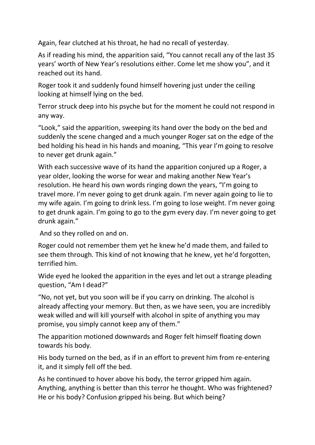Again, fear clutched at his throat, he had no recall of yesterday.

As if reading his mind, the apparition said, "You cannot recall any of the last 35 years' worth of New Year's resolutions either. Come let me show you", and it reached out its hand.

Roger took it and suddenly found himself hovering just under the ceiling looking at himself lying on the bed.

Terror struck deep into his psyche but for the moment he could not respond in any way.

"Look," said the apparition, sweeping its hand over the body on the bed and suddenly the scene changed and a much younger Roger sat on the edge of the bed holding his head in his hands and moaning, "This year I'm going to resolve to never get drunk again."

With each successive wave of its hand the apparition conjured up a Roger, a year older, looking the worse for wear and making another New Year's resolution. He heard his own words ringing down the years, "I'm going to travel more. I'm never going to get drunk again. I'm never again going to lie to my wife again. I'm going to drink less. I'm going to lose weight. I'm never going to get drunk again. I'm going to go to the gym every day. I'm never going to get drunk again."

And so they rolled on and on.

Roger could not remember them yet he knew he'd made them, and failed to see them through. This kind of not knowing that he knew, yet he'd forgotten, terrified him.

Wide eyed he looked the apparition in the eyes and let out a strange pleading question, "Am I dead?"

"No, not yet, but you soon will be if you carry on drinking. The alcohol is already affecting your memory. But then, as we have seen, you are incredibly weak willed and will kill yourself with alcohol in spite of anything you may promise, you simply cannot keep any of them."

The apparition motioned downwards and Roger felt himself floating down towards his body.

His body turned on the bed, as if in an effort to prevent him from re-entering it, and it simply fell off the bed.

As he continued to hover above his body, the terror gripped him again. Anything, anything is better than this terror he thought. Who was frightened? He or his body? Confusion gripped his being. But which being?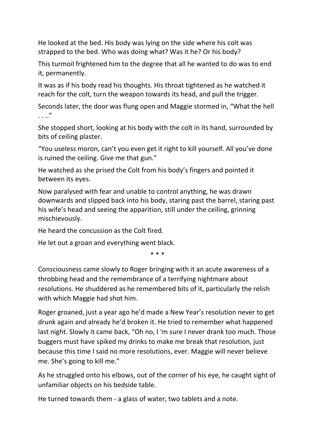He looked at the bed. His body was lying on the side where his colt was strapped to the bed. Who was doing what? Was it he? Or his body?

This turmoil frightened him to the degree that all he wanted to do was to end it, permanently.

It was as if his body read his thoughts. His throat tightened as he watched it reach for the colt, turn the weapon towards its head, and pull the trigger.

Seconds later, the door was flung open and Maggie stormed in, "What the hell . . .."

She stopped short, looking at his body with the colt in its hand, surrounded by bits of ceiling plaster.

"You useless moron, can't you even get it right to kill yourself. All you've done is ruined the ceiling. Give me that gun."

He watched as she prised the Colt from his body's fingers and pointed it between its eyes.

Now paralysed with fear and unable to control anything, he was drawn downwards and slipped back into his body, staring past the barrel, staring past his wife's head and seeing the apparition, still under the ceiling, grinning mischievously.

He heard the concussion as the Colt fired.

He let out a groan and everything went black.

\* \* \*

Consciousness came slowly to Roger bringing with it an acute awareness of a throbbing head and the remembrance of a terrifying nightmare about resolutions. He shuddered as he remembered bits of it, particularly the relish with which Maggie had shot him.

Roger groaned, just a year ago he'd made a New Year's resolution never to get drunk again and already he'd broken it. He tried to remember what happened last night. Slowly it came back, "Oh no, I 'm sure I never drank too much. Those buggers must have spiked my drinks to make me break that resolution, just because this time I said no more resolutions, ever. Maggie will never believe me. She's going to kill me."

As he struggled onto his elbows, out of the corner of his eye, he caught sight of unfamiliar objects on his bedside table.

He turned towards them - a glass of water, two tablets and a note.